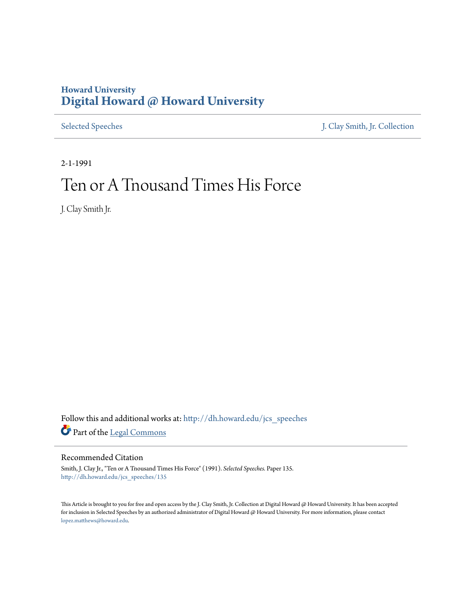## **Howard University [Digital Howard @ Howard University](http://dh.howard.edu?utm_source=dh.howard.edu%2Fjcs_speeches%2F135&utm_medium=PDF&utm_campaign=PDFCoverPages)**

[Selected Speeches](http://dh.howard.edu/jcs_speeches?utm_source=dh.howard.edu%2Fjcs_speeches%2F135&utm_medium=PDF&utm_campaign=PDFCoverPages) [J. Clay Smith, Jr. Collection](http://dh.howard.edu/jcsmith?utm_source=dh.howard.edu%2Fjcs_speeches%2F135&utm_medium=PDF&utm_campaign=PDFCoverPages)

2-1-1991

## Ten or A Tnousand Times His Force

J. Clay Smith Jr.

Follow this and additional works at: [http://dh.howard.edu/jcs\\_speeches](http://dh.howard.edu/jcs_speeches?utm_source=dh.howard.edu%2Fjcs_speeches%2F135&utm_medium=PDF&utm_campaign=PDFCoverPages) Part of the [Legal Commons](http://network.bepress.com/hgg/discipline/502?utm_source=dh.howard.edu%2Fjcs_speeches%2F135&utm_medium=PDF&utm_campaign=PDFCoverPages)

## Recommended Citation

Smith, J. Clay Jr., "Ten or A Tnousand Times His Force" (1991). *Selected Speeches.* Paper 135. [http://dh.howard.edu/jcs\\_speeches/135](http://dh.howard.edu/jcs_speeches/135?utm_source=dh.howard.edu%2Fjcs_speeches%2F135&utm_medium=PDF&utm_campaign=PDFCoverPages)

This Article is brought to you for free and open access by the J. Clay Smith, Jr. Collection at Digital Howard @ Howard University. It has been accepted for inclusion in Selected Speeches by an authorized administrator of Digital Howard @ Howard University. For more information, please contact [lopez.matthews@howard.edu.](mailto:lopez.matthews@howard.edu)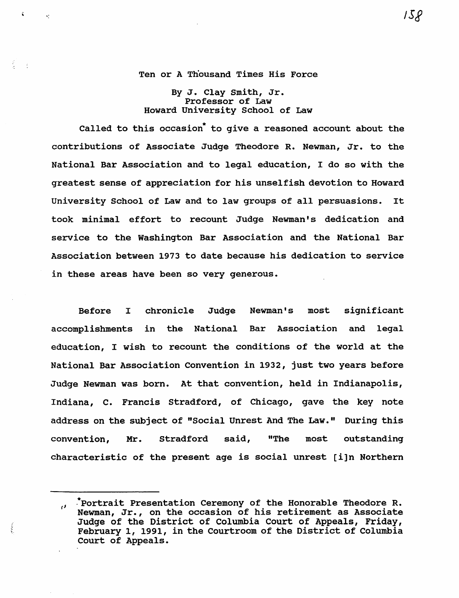Ten or A Thousand Times His Force

By J. Clay smith, Jr. Professor of Law Howard University school of Law

Called to this occasion to give a reasoned account about the contributions of Associate Judge Theodore R. Newman, Jr. to the National Bar Association and to legal education, I do so with the greatest sense of appreciation for his unselfish devotion to Howard university School of Law and to law groups of all persuasions. It took minimal effort to recount Judge Newman's dedication and service to the Washington Bar Association and the National Bar Association between 1973 to date because his dedication to service in these areas have been so very generous.

Before I chronicle Judge Newman's most significant accomplishments in the National Bar Association and legal education, I wish to recount the conditions of the world at the National Bar Association Convention in 1932, just two years before Judge Newman was born. At that convention, held in Indianapolis, Indiana, C. Francis stradford, of Chicago, gave the key note address on the subject of "Social Unrest And The Law." During this convention, Mr. Stradford said, "The most outstanding characteristic of the present age is social unrest [i]n Northern

 $\left(\right)$ 

<sup>.\*</sup>portrait Presentation Ceremony of the Honorable Theodore R.  $\mathbf{r}$ Newman, Jr., on the occasion of his retirement as Associate Judge of the District of Columbia Court of Appeals, Friday, February 1, 1991, in the courtroom of the District of Columbia Court of Appeals.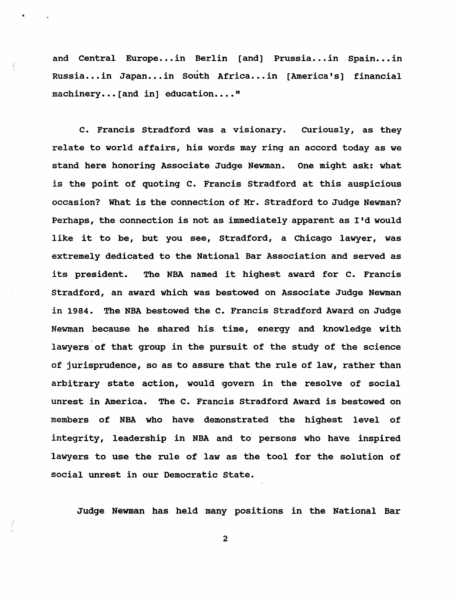and Central Europe...in Berlin [and] Prussia...in Spain...in Russia...in Japan...in South Africa...in [America's] financial machinery... [and in] education...."

C. Francis Stradford was a visionary. Curiously, as they relate to world affairs, his words may ring an accord today as we stand here honoring Associate Judge Newman. One might ask: what is the point of quoting C. Francis Stradford at this auspicious occasion? What is the connection of Mr. Stradford to Judge Newman? Perhaps, the connection is not as immediately apparent as I'd would like it to be, but you see, Stradford, a chicago lawyer, was extremely dedicated to the National Bar Association and served as its president. The NBA named it highest award for C. Francis Stradford, an award which was bestowed on Associate Judge Newman in 1984. The NBA bestowed the C. Francis Stradford Award on Judge Newman because he shared his time, energy and knowledge with lawyers of that group in the pursuit of the study of the science of jurisprudence, so as to assure that the rule of law, rather than arbitrary state action, would govern in the resolve of social unrest in America. The C. Francis Stradford Award is bestowed on members of NBA who have demonstrated the highest level of integrity, leadership in NBA and to persons who have inspired lawyers to use the rule of law as the tool for the solution of social unrest in our Democratic State.

Judge Newman has held many positions in the National Bar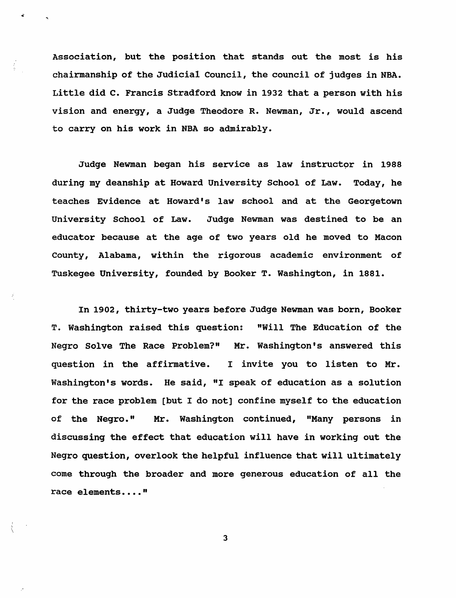Association, but the position that stands out the most is his chairmanship of the Judicial Council, the council of judges in NBA. Little did C. Francis Stradford know in 1932 that a person with his vision and energy, a Judge Theodore R. Newman, Jr., would ascend to carry on his work in NBA so admirably.

Judge Newman began his service as law instructor in 1988 during my deanship at Howard University School of Law. Today, he teaches Evidence at Howard's law school and at the Georgetown university School of Law. Judge Newman was destined to be an educator because at the age of two years old he moved to Macon County, Alabama, within the rigorous academic environment of Tuskegee University, founded by Booker T. Washington, in 1881.

In 1902, thirty-two years before Judge Newman was born, Booker T. Washington raised this question: "Will The Education of the Negro Solve The Race Problem?" Mr. Washington's answered this question in the affirmative. I invite you to listen to Mr. Washington's words. He said, "I speak of education as a solution for the race problem [but I do not] confine myself to the education of the Negro." Mr. Washington continued, "Many persons in discussing the effect that education will have in working out the Negro question, overlook the helpful influence that will ultimately come through the broader and more generous education of all the race elements...."